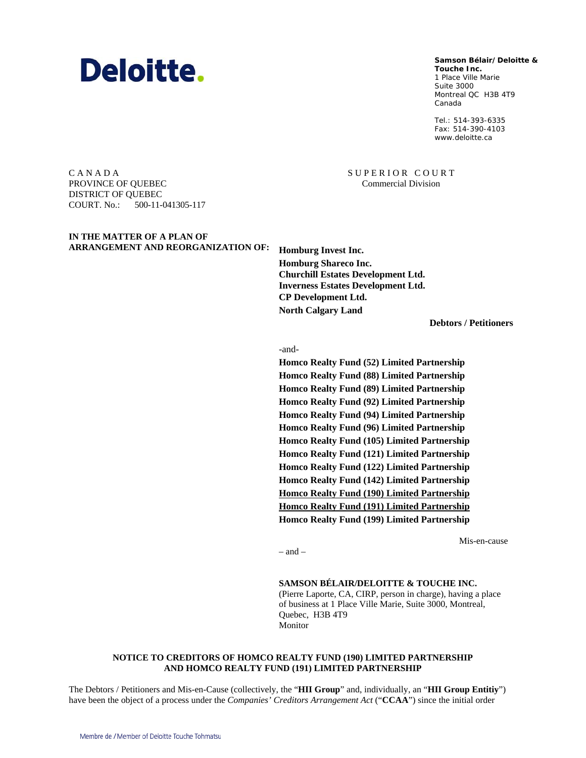# Deloitte.

**Samson Bélair/Deloitte & Samson Bélair/Deloitte &**

**Touche Inc. Touche Inc.** 1, Place Ville Marie 1 Place Ville Marie Suite 3000 Montréal QC H3B 4T9 Montreal QC H3B 4T9 Canada Canada

Tél. : 514-393-6335 Tel.: 514-393-6335 Téléc. : 514-390-4103 Fax: 514-390-4103 www.deloitte.ca www.deloitte.ca

C A N A D A PROVINCE OF QUEBEC DISTRICT OF QUEBEC COURT. No.: 500-11-041305-117

# **IN THE MATTER OF A PLAN OF ARRANGEMENT AND REORGANIZATION OF: Homburg Invest Inc.**

**Homburg Shareco Inc. Churchill Estates Development Ltd. Inverness Estates Development Ltd. CP Development Ltd. North Calgary Land** 

SUPERIOR COURT Commercial Division

**Debtors / Petitioners**

-and-

**Homco Realty Fund (52) Limited Partnership Homco Realty Fund (88) Limited Partnership Homco Realty Fund (89) Limited Partnership Homco Realty Fund (92) Limited Partnership Homco Realty Fund (94) Limited Partnership Homco Realty Fund (96) Limited Partnership Homco Realty Fund (105) Limited Partnership Homco Realty Fund (121) Limited Partnership Homco Realty Fund (122) Limited Partnership Homco Realty Fund (142) Limited Partnership Homco Realty Fund (190) Limited Partnership Homco Realty Fund (191) Limited Partnership Homco Realty Fund (199) Limited Partnership** 

Mis-en-cause

– and –

#### **SAMSON BÉLAIR/DELOITTE & TOUCHE INC.**

(Pierre Laporte, CA, CIRP, person in charge), having a place of business at 1 Place Ville Marie, Suite 3000, Montreal, Quebec, H3B 4T9 Monitor

#### **NOTICE TO CREDITORS OF HOMCO REALTY FUND (190) LIMITED PARTNERSHIP AND HOMCO REALTY FUND (191) LIMITED PARTNERSHIP**

The Debtors / Petitioners and Mis-en-Cause (collectively, the "**HII Group**" and, individually, an "**HII Group Entitiy**") have been the object of a process under the *Companies' Creditors Arrangement Act* ("**CCAA**") since the initial order